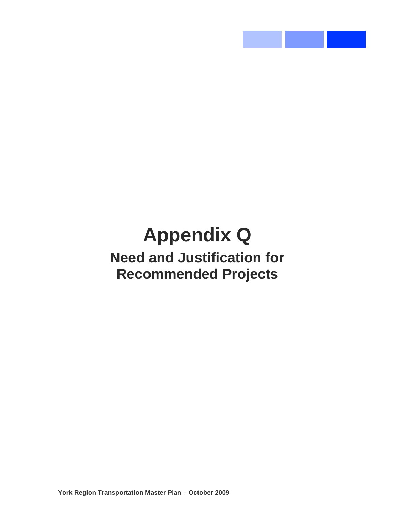## **Appendix Q Need and Justification for Recommended Projects**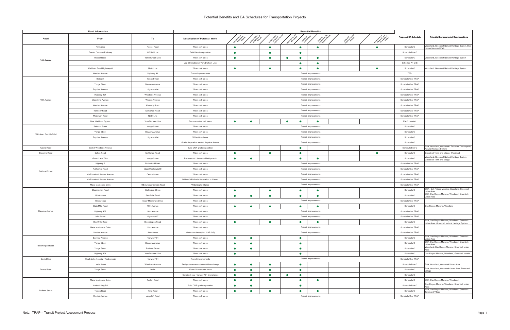|                         |                                  |                         |                                         |                             |                      |           | <b>Potential Benefits</b> |           |                                          |                    |                             |                                                                                               |
|-------------------------|----------------------------------|-------------------------|-----------------------------------------|-----------------------------|----------------------|-----------|---------------------------|-----------|------------------------------------------|--------------------|-----------------------------|-----------------------------------------------------------------------------------------------|
| Road                    | From                             | To                      | <b>Description of Potential Work</b>    |                             | Accommodules         |           |                           |           | Supportant reads<br>Co <sup>rn</sup> abl | Accom as a ecre    | <b>Proposed EA Schedule</b> | <b>Potential Environmental Considerations</b>                                                 |
|                         | Ninth Line                       | Reesor Road             | Widen to 4 lanes                        | $\bullet$                   |                      | $\bullet$ |                           | $\bullet$ | $\bullet$                                | $\bullet$          | Schedule C                  | Voodland, Greenbelt Natural Heritage System, Bob<br>Iunter Memorial Park                      |
|                         | Donald Cousens Parkway           | CP Rail Line            | <b>Build Grade separation</b>           | $\bullet$                   |                      | $\bullet$ |                           | $\bullet$ |                                          |                    | Schedule B or C             |                                                                                               |
|                         | Reesor Road                      | York/Durham Line        | Widen to 4 lanes                        | $\bullet$                   |                      | $\bullet$ | $\bullet$                 | $\bullet$ | $\bullet$                                |                    | Schedule C                  | Voodland, Greenbelt Natural Heritage System                                                   |
| 14th Avenue             |                                  |                         | Jog Elimination at York/Durham Line     |                             |                      |           |                           | $\bullet$ | $\bullet$                                |                    | Schedule A+ or B            |                                                                                               |
|                         | Markham Road/Highway 48          | Ninth Line              | Widen to 4 lanes                        | $\bullet$                   |                      | $\bullet$ |                           | $\bullet$ | $\bullet$                                | $\bullet$          | Schedule C                  | Voodland, Greenbelt Natural Heritage System                                                   |
|                         | Warden Avenue                    | Highway 48              | Transit improvements                    |                             |                      |           |                           |           | Transit Improvements                     |                    | TBD                         |                                                                                               |
|                         | Bathurst                         | Yonge Street            | Widen to 6 lanes                        |                             |                      |           | Schedule C or TPAP        |           |                                          |                    |                             |                                                                                               |
|                         | Yonge Street                     | <b>Bayview Avenue</b>   | Widen to 6 lanes                        |                             |                      |           |                           |           | <b>Transit Improvements</b>              |                    | Schedule C or TPAP          |                                                                                               |
|                         | <b>Bayview Avenue</b>            | Highway 404             | Widen to 6 lanes                        |                             |                      |           | Schedule C or TPAP        |           |                                          |                    |                             |                                                                                               |
|                         | Highway 404                      | Woodbine Avenue         | Widen to 6 lanes                        |                             |                      |           | Schedule C or TPAP        |           |                                          |                    |                             |                                                                                               |
| 16th Avenue             | Woodbine Avenue                  | Warden Avenue           | Widen to 6 lanes                        |                             |                      |           | Schedule C or TPAP        |           |                                          |                    |                             |                                                                                               |
|                         | Warden Avenue                    | Kennedy Road            | Widen to 6 lanes                        |                             |                      |           | Schedule C or TPAP        |           |                                          |                    |                             |                                                                                               |
|                         | Kennedy Road                     | McCowan Road            | Widen to 6 lanes                        |                             |                      |           |                           |           | <b>Transit Improvements</b>              |                    | Schedule C or TPAP          |                                                                                               |
|                         | McCowan Road                     | Ninth Line              | Widen to 6 lanes                        |                             |                      |           |                           |           | Transit Improvements                     |                    | Schedule C or TPAP          |                                                                                               |
|                         | New Markham Bypass               | York/Durham Line        | Reconstruction to 2 lanes               | $\bullet$                   |                      |           |                           | $\bullet$ | $\bullet$                                |                    | EA Completed                |                                                                                               |
|                         | <b>Bathurst Street</b>           | Yonge Street            | Widen to 4 lanes                        |                             |                      |           |                           |           | Transit Improvements                     | Schedule C         |                             |                                                                                               |
|                         | Yonge Street                     | <b>Bayview Avenue</b>   | Widen to 4 lanes                        | <b>Transit Improvements</b> |                      |           |                           |           |                                          |                    |                             |                                                                                               |
| 19th Ave / Gamble Sdrd  | <b>Bayview Avenue</b>            | Highway 404             | Wident to 4 lanes                       | Transit Improvements        |                      |           |                           |           |                                          |                    |                             |                                                                                               |
|                         |                                  |                         | Grade Separation west of Bayview Avenue |                             |                      |           | Schedule C                |           |                                          |                    |                             |                                                                                               |
| Aurora Road             | East of Woodbine Avenue          |                         | Build CNR grade separation              |                             |                      |           |                           | $\bullet$ |                                          |                    | Schedule B or C             | SA, Woodland, Greenbelt- Protected Countryside,<br>atural Heritage System                     |
| <b>Baseline Road</b>    | Dalton Road                      | McCowan Road            | Widen to 4 lanes                        | $\bullet$                   |                      | $\bullet$ |                           | $\bullet$ |                                          | $\bullet$          | Schedule C                  | Greenbelt Town and Village, Woodland                                                          |
|                         | Green Lane West                  | Yonge Street            | Reconstruct 2 lanes and bridge work     | $\bullet$                   | $\bullet$            |           |                           | $\bullet$ | $\bullet$                                |                    | Schedule C                  | Voodland, Greenbelt Natural Heritage System,<br>reenbelt Town and Village                     |
|                         | Highway 7                        | Rutherford Road         | Widen to 6 lanes                        | <b>Transit Improvements</b> |                      |           |                           |           |                                          |                    | Schedule C or TPAP          |                                                                                               |
|                         | Rutherford Road                  | Major Mackenzie Dr      | Widen to 6 lanes                        |                             |                      |           | Schedule C or TPAP        |           |                                          |                    |                             |                                                                                               |
| <b>Bathurst Street</b>  | CNR north of Steeles Avenue      | Centre Street           | Widen to 6 lanes                        |                             |                      |           | Schedule C or TPAP        |           |                                          |                    |                             |                                                                                               |
|                         | CNR north of Steeles Avenue      |                         | Widen CNR Grade Separation to 6 lanes   |                             |                      |           | Schedule C or TPAP        |           |                                          |                    |                             |                                                                                               |
|                         | Major Mackenzie Drive            | 19th Avenue/Gamble Road | Widening to 6 lanes                     |                             |                      |           | Schedule C or TPAP        |           |                                          |                    |                             |                                                                                               |
|                         | <b>Bloomington Road</b>          | Wellington Street       | Widen to 4 lanes                        | $\bullet$                   |                      | ٠         |                           | $\bullet$ | $\bullet$                                |                    | Schedule C                  | ESA, Oak Ridges Moraine, Woodland, Greenbelt<br>rban Area                                     |
|                         | 19th Avenue                      | Stouffville Road        | Widen to 4 lanes                        | $\bullet$                   | $\bullet$            | $\bullet$ |                           | $\bullet$ | $\bullet$                                |                    | Schedule C                  | ESA, Oak Ridges Moraine, Woodland, Greenbelt<br>Jrban Area                                    |
|                         | 16th Avenue                      | Major Mackenzie Drive   | Widen to 6 lanes                        | <b>Transit Improvements</b> |                      |           |                           |           |                                          | Schedule C or TPAP |                             |                                                                                               |
|                         | Elgin Mills Road                 | 19th Avenue             | Widen to 4 lanes                        | $\bullet$                   |                      |           |                           | $\bullet$ | $\bullet$                                |                    | Schedule C                  | Oak Ridges Moraine, Woodland                                                                  |
| <b>Bayview Avenue</b>   | Highway 407                      | 16th Avenue             | Widen to 6 lanes                        |                             | Transit Improvements |           |                           |           |                                          |                    |                             |                                                                                               |
|                         | John Street                      | Highway 407             | Widen to 6 lanes                        | Transit Improvements        |                      |           |                           |           |                                          |                    |                             |                                                                                               |
|                         | Stouffville Road                 | <b>Bloomington Road</b> | Widen to 4 lanes                        | $\bullet$                   |                      | $\bullet$ |                           | $\bullet$ | $\bullet$                                |                    | Schedule C                  | ESA, Oak Ridges Moraine, Woodland, Greenbelt<br>Urban Area, Greenbelt Natural Heritage System |
|                         | Major Mackenzie Drive            | 19th Avenue             | Widen to 6 lanes                        |                             |                      |           |                           |           | Transit Improvements                     |                    | Schedule C or TPAP          |                                                                                               |
|                         | Steeles Avenue                   | John Street             | Widen to 6 lanes (incl. CNR GS)         |                             |                      |           | Schedule C or TPAP        |           |                                          |                    |                             |                                                                                               |
|                         | <b>Bayview Avenue</b>            | Highway 404             | Widen to 4 lanes                        | $\bullet$                   | $\bullet$            |           |                           | $\bullet$ |                                          |                    | Schedule C                  | ESA, Oak Ridges Moraine, Woodland, Greenbelt<br>Jrban Area                                    |
|                         | Yonge Street                     | <b>Bayview Avenue</b>   | Widen to 4 lanes                        | $\bullet$                   | $\bullet$            |           |                           | $\bullet$ |                                          |                    | Schedule C                  | ESA, Oak Ridges Moraine, Woodland, Greenbelt<br>Jrban Area                                    |
| <b>Bloomington Road</b> | Yonge Street                     | <b>Bathurst Street</b>  | Widen to 4 lanes                        | $\bullet$                   | $\bullet$            |           |                           | $\bullet$ |                                          |                    | Schedule C                  | Woodland, Oak Ridges Moraine, Greenbelt Urban                                                 |
|                         | Highway 404                      | York/Durham Line        | Widen to 4 lanes                        | $\bullet$                   |                      |           |                           | $\bullet$ |                                          |                    | Schedule C                  | Oak Ridges Moraine, Woodland, Greenbelt Hamlet                                                |
| Davis Drive             | South Lake Hospital / Roxborough | Highway 404             | Transit improvements                    |                             |                      |           |                           |           | Transit Improvements                     |                    | Schedule C or TPAP          |                                                                                               |
|                         | Leslie Street                    | Woodbine Avenue         | Realign to accommodate 404 Interchange  | $\bullet$                   | $\bullet$            | $\bullet$ |                           | $\bullet$ |                                          |                    | Schedule B or C             | ESA, Woodland, Greenbelt Urban Area                                                           |
| Doane Road              | Yonge Street                     | Leslie                  | Widen / Construct 4 lanes               | $\bullet$                   | $\bullet$            | $\bullet$ |                           | $\bullet$ |                                          |                    | Schedule C                  | ESA, Woodland, Greenbelt-Urban Area, Town and<br>llage                                        |
|                         |                                  |                         | Construct new Highway 404 Interchange   | $\bullet$                   | $\bullet$            | $\bullet$ | $\bullet$                 | $\bullet$ |                                          |                    | Schedule C                  |                                                                                               |
|                         | Major Mackenzie Drive            | Teston Road             | Widen to 4 lanes                        | $\bullet$                   | $\bullet$            | $\bullet$ |                           | $\bullet$ | $\bullet$                                |                    | Schedule C                  | ESA, Oak Ridges Moraine, Woodland                                                             |
|                         | North of King Rd                 |                         | Build CNR grade separation              | $\bullet$                   | $\bullet$            |           |                           | $\bullet$ |                                          |                    | Schedule B or C             | Oak Ridges Moraine, Woodland, Greenbelt Urban                                                 |
| Dufferin Street         | <b>Teston Road</b>               | King Road               | Widen to 4 lanes                        | $\bullet$                   | $\bullet$            | $\bullet$ |                           | $\bullet$ | $\bullet$                                |                    | Schedule C                  | ESA, Oak Ridges Moraine, Woodland, Greenbelt<br>own and Village                               |
|                         | Steeles Avenue                   | Langstaff Road          | Widen to 6 lanes                        |                             |                      |           |                           |           | Transit Improvements                     |                    | Schedule C or TPAP          |                                                                                               |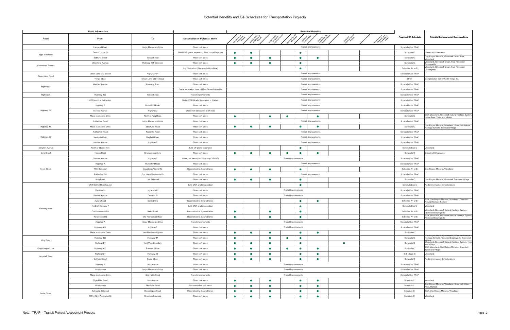| <b>Road Information</b> |                          |                         |                                                   |                                                  |                             |           |                    |                             | <b>Potential Benefits</b> |                             |                                                                                   |                                                                                      |
|-------------------------|--------------------------|-------------------------|---------------------------------------------------|--------------------------------------------------|-----------------------------|-----------|--------------------|-----------------------------|---------------------------|-----------------------------|-----------------------------------------------------------------------------------|--------------------------------------------------------------------------------------|
| Road                    | From                     | To                      | <b>Description of Potential Work</b>              |                                                  |                             |           |                    |                             |                           | <b>Proposed EA Schedule</b> | <b>Potential Environmental Considerations</b>                                     |                                                                                      |
|                         | Langstaff Road           | Major Mackenzie Drive   | Widen to 6 lanes                                  | Transit Improvements                             |                             |           |                    |                             |                           | Schedule C or TPAP          |                                                                                   |                                                                                      |
|                         | East of Yonge St         |                         | Build CNR grade separation (Btw Yonge/Bayview)    | $\bullet$                                        | $\bullet$                   |           |                    | $\bullet$                   |                           |                             | Schedule C                                                                        | Greenbelt Urban Area                                                                 |
| Elgin Mills Road        | <b>Bathurst Street</b>   | Yonge Street            | Widen to 4 lanes                                  | $\bullet$                                        | $\bullet$                   | $\bullet$ |                    | $\bullet$                   | $\bullet$                 |                             | Schedule C                                                                        | Dak Ridges Moraine, Greenbelt Urban Area,<br>Voodland                                |
|                         | Woodbine Avenue          | Highway 404 Extension   | Widen to 4 lanes                                  | $\bullet$                                        | $\bullet$                   | $\bullet$ |                    | $\bullet$                   |                           |                             | Schedule C                                                                        | Woodland, Greenbelt-Urban Area, Protected<br>ountryside                              |
| Glenwoods Avenue        |                          |                         | Jog Elimination (Glenwoods/Woodbine)              |                                                  |                             |           |                    | $\bullet$                   |                           |                             | Schedule A+ or B                                                                  | Woodland, Greenbelt-Urban Area, Protected<br>Countryside                             |
|                         | Green Lane GO Station    | Highway 404             | Widen to 6 lanes                                  |                                                  |                             |           |                    |                             | Transit Improvements      |                             | Schedule C or TPAP                                                                |                                                                                      |
| Green Lane Road         | Yonge Street             | Green Lane GO Terminal  | Widen to 6 lanes                                  |                                                  |                             |           |                    |                             | Transit Improvements      |                             | TPAP                                                                              | Completed as part of North Yonge EA                                                  |
|                         | Warden Avenue            | Kennedy Road            | Widen to 6 lanes                                  |                                                  |                             |           |                    |                             | Transit Improvements      |                             | Schedule C or TPAP                                                                |                                                                                      |
| Highway 7               |                          |                         | Grade separation (west of Main Street/Unionville) |                                                  |                             |           |                    |                             | Transit Improvements      |                             | Schedule C or TPAP                                                                |                                                                                      |
| Highway 9               | Highway 400              | Yonge Street            | Transit improvements                              |                                                  |                             |           |                    |                             | Transit Improvements      |                             | Schedule C or TPAP                                                                |                                                                                      |
|                         | CPR south of Rutherford  |                         | Widen CPR Grade Separation to 6 lanes             |                                                  |                             |           |                    |                             | Transit Improvements      |                             | Schedule C or TPAP                                                                |                                                                                      |
|                         | Highway 7                | Rutherford Road         | Widen to 6 lanes                                  |                                                  |                             |           | Schedule C or TPAP |                             |                           |                             |                                                                                   |                                                                                      |
| Highway 27              | Steeles Avenue           | Highway 7               | Widen to 6 lanes (incl. CNR GS)                   |                                                  |                             |           | Schedule C or TPAP |                             |                           |                             |                                                                                   |                                                                                      |
|                         | Major Mackenzie Drive    | North of King Road      | Widen to 4 lanes                                  | $\bullet$<br>$\bullet$<br>$\bullet$<br>$\bullet$ |                             |           |                    |                             |                           | Schedule C                  | ESA, Woodland, Greenbelt-Natural Heritage System,<br>Jrban Area, Town and Village |                                                                                      |
|                         | Rutherford Road          | Major Mackenzie Drive   | Widen to 6 lanes                                  |                                                  |                             |           |                    |                             | Transit Improvements      |                             | Schedule C or TPAP                                                                |                                                                                      |
| Highway 48              | Major Mackenzie Drive    | Stouffville Road        | Widen to 4 lanes                                  | $\bullet$                                        |                             | $\bullet$ |                    | $\bullet$                   |                           |                             | Schedule C                                                                        | Oak Ridges Moraine, Woodland, Greenbelt-Natural<br>leritage System, Town and Village |
|                         | Rutherford Road          | Nashville Road          | Widen to 6 lanes                                  |                                                  |                             |           |                    |                             | Transit Improvements      |                             | Schedule C or TPAP                                                                |                                                                                      |
| Highway 50              | Nashville Road           | Mayfield Road           | Widen to 6 lanes                                  |                                                  |                             |           |                    |                             | Transit Improvements      |                             | Schedule C or TPAP                                                                |                                                                                      |
|                         | Steeles Avenue           | Highway 7               | Widen to 6 lanes                                  |                                                  |                             |           |                    |                             | Transit Improvements      |                             | Schedule C or TPAP                                                                |                                                                                      |
| Islington Avenue        | North of Steeles Ave     |                         | Build CP grade separation                         |                                                  |                             |           |                    | $\bullet$                   |                           |                             | Schedule B or C                                                                   | Woodland                                                                             |
| Jane Street             | Teston Road              | King/Vaughan Line       | Widen to 4 lanes                                  | $\bullet$                                        | $\bullet$                   | $\bullet$ | $\bullet$          | $\bullet$                   | $\bullet$                 |                             | Schedule C                                                                        | Greenbelt Urban Area                                                                 |
|                         | Steeles Avenue           | Highway 7               | Widen to 6 lanes (incl. Widening CNR GS)          |                                                  |                             |           |                    | <b>Transit Improvements</b> |                           |                             | Schedule C or TPAP                                                                |                                                                                      |
|                         | Highway 7                | Rutherford Road         | Widen to 6 lanes                                  | Transit Improvements                             |                             |           |                    | Schedule C or TPAP          |                           |                             |                                                                                   |                                                                                      |
| Keele Street            | 15th Sideorad            | Lloydtown/Aurora Rd     | Reconstruct to 2 paved lanes                      | $\bullet$                                        |                             | $\bullet$ |                    | $\bullet$                   |                           |                             | Schedule A+ or B                                                                  | Oak Ridges Moraine, Woodland                                                         |
|                         | Rutherford Rd            | S of Major Mackenzie Dr | Widen to 6 lanes                                  |                                                  |                             |           |                    |                             | Transit Improvements      |                             | Schedule C or TPAP                                                                |                                                                                      |
|                         | King Road                | 15th Sideroad           | Widen to 4 lanes                                  | $\bullet$                                        | $\bullet$                   | $\bullet$ |                    | $\bullet$                   |                           |                             | Schedule C                                                                        | Oak Ridges Moraine, Greenbelt Town and Village                                       |
|                         | CNR North of Steeles Ave |                         | Build CNR grade separation                        |                                                  |                             |           |                    | $\bullet$                   |                           |                             | Schedule B or C                                                                   | No Environmental Considerations                                                      |
|                         | Denison St               | Highway 407             | Widen to 6 lanes                                  | Transit Improvements                             |                             |           |                    |                             |                           |                             | Schedule C or TPAP                                                                |                                                                                      |
|                         | Steeles Avenue           | Denison St              | Widen to 6 lanes                                  |                                                  | Transit Improvements        |           |                    |                             |                           |                             |                                                                                   |                                                                                      |
|                         | Aurora Road              | Davis Drive             | Reconstruct to 2 paved lanes                      |                                                  |                             |           |                    | $\bullet$                   | $\bullet$                 |                             | Schedule A+ or B                                                                  | ESA, Oak Ridges Moraine, Woodland, Greenbelt<br>Vatural Heritage System              |
| Kennedy Road            | North of Highway 7       |                         | Build CNR grade separation                        |                                                  |                             |           |                    | $\bullet$                   |                           |                             | Schedule B or C                                                                   | Woodland                                                                             |
|                         | Old Homestead Rd         | Metro Road              | Reconstruct to 2 paved lanes                      | $\bullet$                                        |                             | $\bullet$ |                    | $\bullet$                   |                           |                             | Schedule A+ or B                                                                  | Woodland, Greenbelt-Natural Heritage System,<br>Protected Countryside                |
|                         | Ravenshoe Rd             | Old Homestead Road      | Reconstruct to 2 paved lanes                      | $\bullet$                                        |                             | $\bullet$ |                    | $\bullet$                   |                           |                             | Schedule A+ or B                                                                  | ESA, Woodland, Greenbelt-Natural Heritage System,<br>Protected Countryside           |
|                         | Highway 7                | Major Mackenzie Drive   | Transit improvements                              |                                                  | <b>Transit Improvements</b> |           |                    |                             |                           |                             | Schedule C or TPAP                                                                |                                                                                      |
|                         | Highway 407              | Highway 7               | Widen to 6 lanes                                  |                                                  |                             |           |                    | Transit Improvements        |                           |                             | Schedule C or TPAP                                                                |                                                                                      |
|                         | Major Mackenzie Drive    | New Markham Bypass      | Widen to 4 lanes                                  | $\bullet$                                        | $\bullet$                   | $\bullet$ |                    | $\bullet$                   | $\bullet$                 |                             | Schedule C                                                                        |                                                                                      |
| King Road               | Highway 400              | Highway 27              | Widen to 4 lanes                                  | $\bullet$                                        |                             | $\bullet$ | $\bullet$          | $\bullet$                   |                           |                             | Schedule C                                                                        | leritage System, Protected Countryside, Town and                                     |
|                         | Highway 27               | York/Peel Boundary      | Widen to 4 lanes                                  | $\bullet$                                        | $\bullet$                   | $\bullet$ |                    | $\bullet$                   |                           | $\bullet$                   | Schedule C                                                                        | Woodland, Greenbelt-Natural Heritage System, Town<br>and Village                     |
| King/Vaughan Line       | Highway 400              | <b>Bathurst Street</b>  | Widen to 4 lanes                                  | $\bullet$                                        | $\bullet$                   | $\bullet$ | $\bullet$          | $\bullet$                   | $\bullet$                 |                             | Schedule C                                                                        | ESA, Woodland, Oak Ridges Moraine, Greenbelt<br>own and Village                      |
| Langstaff Road          | Highway 27               | Highway 50              | Widen to 4 lanes                                  | $\bullet$                                        | $\bullet$                   | $\bullet$ |                    | $\bullet$                   | $\bullet$                 |                             | Scheduule C                                                                       | Woodland                                                                             |
|                         | Dufferin Street          | Keele Street            | Widen to 4 lanes                                  | $\bullet$                                        | $\bullet$                   | $\bullet$ |                    | $\bullet$                   | $\bullet$                 |                             | Schedule C                                                                        | No Environmental Considerations                                                      |
|                         | Highway 7                | 16th Avenue             | Widen to 6 lanes                                  |                                                  |                             |           |                    | <b>Transit Improvements</b> |                           |                             | Schedule C or TPAP                                                                |                                                                                      |
|                         | 16th Avenue              | Major Mackenzie Drive   | Widen to 6 lanes                                  |                                                  | Transit Improvements        |           |                    |                             |                           |                             | Schedule C or TPAP                                                                |                                                                                      |
|                         | Major Mackenzie Drive    | Elgin Mills Road        | Transit improvements                              | Transit Improvements                             |                             |           |                    |                             |                           |                             | Schedule C or TPAP                                                                |                                                                                      |
|                         | Elgin Mills Road         | 19th Avenue             | Widen to 4 lanes                                  | $\bullet$                                        | $\bullet$                   | $\bullet$ |                    | $\bullet$                   | $\bullet$                 |                             | Schedule C                                                                        | Woodland                                                                             |
|                         | 19th Avenue              | Stouffville Road        | Reconstruction to 2 lanes                         | $\bullet$                                        | $\bullet$                   | $\bullet$ |                    | $\bullet$                   | $\bullet$                 |                             | Schedule C                                                                        | Oak Ridges Moraine, Woodland, Greenbelt-Urban<br>Area, Hamlet                        |
| Leslie Street           | Bethesda Sideroad        | <b>Bloomington Road</b> | Reconstruct to 2 paved lanes                      | $\bullet$                                        | $\bullet$                   | $\bullet$ |                    | $\bullet$                   | $\bullet$                 |                             | Schedule C                                                                        | ESA, Oak Ridges Moraine, Woodland                                                    |
|                         | 500 m N of Wellington St | St. Johns Sideroad      | Widen to 4 lanes                                  | $\bullet$                                        | $\bullet$                   | $\bullet$ |                    | $\bullet$                   | $\bullet$                 |                             | Schedule C                                                                        | Woodland                                                                             |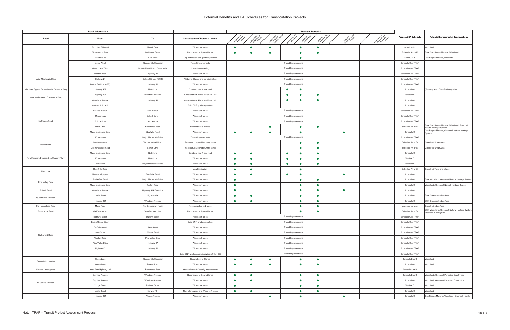|                                            |                         |                                 | <b>Potential Benefits</b><br><b>Proposed EA Schedule</b><br>Accomodated a protion (18416)<br>Supported Tracks<br>Accommodo cy<br>Compai<br>Schedule C<br>$\bullet$<br>$\bullet$<br>$\bullet$<br>$\bullet$<br>Schedule A+ or B<br>$\bullet$<br>$\bullet$<br>$\bullet$<br>$\bullet$<br>$\bullet$<br>Schedule B<br>Transit Improvements<br>Schedule C or TPAP<br><b>Transit Improvements</b><br>Schedule C or TPAP<br><b>Transit Improvements</b><br>Schedule C or TPAP<br><b>Transit Improvements</b><br>Schedule C or TPAP<br>Transit Improvements<br>Schedule C or TPAP<br>$\bullet$<br>Schedule C<br>$\bullet$<br>Schedule C<br>$\bullet$<br>$\bullet$<br>$\bullet$<br>Schedule C<br>$\bullet$<br>$\bullet$<br>$\bullet$<br>Schedule C<br><b>Transit Improvements</b><br>Schedule C or TPAP<br>Schedule C or TPAP<br><b>Transit Improvements</b><br>Transit Improvements<br>Schedule C or TPAP<br>Schedule A+ or B<br>$\bullet$<br>$\bullet$<br>$\bullet$<br>Schedule C<br>$\bullet$<br>$\bullet$<br>$\bullet$<br>$\bullet$<br>Transit Improvements<br>Schedule C or TPAP<br>Schedule A+ or B<br>$\bullet$<br>$\bullet$<br>$\bullet$<br>Schedule A+ or B<br>$\bullet$<br>Schedule C<br>$\bullet$<br>$\bullet$<br>$\bullet$<br>$\bullet$<br>Shedule C<br>$\bullet$<br>$\bullet$<br>$\bullet$<br>$\bullet$<br>Schedule C<br>$\bullet$<br>$\bullet$<br>$\bullet$<br>$\bullet$<br>Schedule A+ or B<br>$\bullet$<br>$\bullet$<br>$\bullet$<br>$\bullet$<br>Schedule C<br>$\bullet$<br>$\bullet$<br>Schedule C<br>$\bullet$<br>$\bullet$<br>Schedule C<br>$\bullet$<br>$\bullet$<br>$\bullet$<br>$\bullet$<br>$\bullet$<br>Schedule C<br>Schedule C<br>$\bullet$<br>$\bullet$<br>$\bullet$<br>$\bullet$<br>$\bullet$<br>Schedule C<br>$\bullet$<br>$\bullet$<br>$\bullet$<br>Schedule A+ or B<br>$\bullet$<br>$\bullet$<br>Schedule A+ or B<br><b>Transit Improvements</b><br>Schedule C or TPAP<br>Transit Improvements<br>Schedule C or TPAP<br>Schedule C or TPAP<br>Transit Improvements<br>Schedule C or TPAP<br>Transit Improvements<br>Transit Improvements<br>Schedule C or TPAP<br>Schedule C or TPAP<br>Transit Improvements<br>Schedule C or TPAP<br>Transit Improvements<br>Transit Improvements<br>Schedule C or TPAP<br>$\bullet$<br>$\bullet$<br>Schedule B or C<br>$\bullet$<br>$\bullet$ |           |           |           |  |           |           |           |                 |                                                                           |
|--------------------------------------------|-------------------------|---------------------------------|------------------------------------------------------------------------------------------------------------------------------------------------------------------------------------------------------------------------------------------------------------------------------------------------------------------------------------------------------------------------------------------------------------------------------------------------------------------------------------------------------------------------------------------------------------------------------------------------------------------------------------------------------------------------------------------------------------------------------------------------------------------------------------------------------------------------------------------------------------------------------------------------------------------------------------------------------------------------------------------------------------------------------------------------------------------------------------------------------------------------------------------------------------------------------------------------------------------------------------------------------------------------------------------------------------------------------------------------------------------------------------------------------------------------------------------------------------------------------------------------------------------------------------------------------------------------------------------------------------------------------------------------------------------------------------------------------------------------------------------------------------------------------------------------------------------------------------------------------------------------------------------------------------------------------------------------------------------------------------------------------------------------------------------------------------------------------------------------------------------------------------------------------------------------------------------------------------------------------------------------------------------------------------------------------|-----------|-----------|-----------|--|-----------|-----------|-----------|-----------------|---------------------------------------------------------------------------|
| Road                                       | From                    | To                              | <b>Description of Potential Work</b>                                                                                                                                                                                                                                                                                                                                                                                                                                                                                                                                                                                                                                                                                                                                                                                                                                                                                                                                                                                                                                                                                                                                                                                                                                                                                                                                                                                                                                                                                                                                                                                                                                                                                                                                                                                                                                                                                                                                                                                                                                                                                                                                                                                                                                                                 |           |           |           |  |           |           |           |                 | <b>Potential Environmental Considerations</b>                             |
|                                            | St. Johns Sideroad      | Mulock Drive                    | Widen to 4 lanes                                                                                                                                                                                                                                                                                                                                                                                                                                                                                                                                                                                                                                                                                                                                                                                                                                                                                                                                                                                                                                                                                                                                                                                                                                                                                                                                                                                                                                                                                                                                                                                                                                                                                                                                                                                                                                                                                                                                                                                                                                                                                                                                                                                                                                                                                     | $\bullet$ |           |           |  |           |           |           |                 | <b>Noodland</b>                                                           |
|                                            | <b>Bloomington Road</b> | <b>Wellington Street</b>        | Reconstruct to 2 paved lanes                                                                                                                                                                                                                                                                                                                                                                                                                                                                                                                                                                                                                                                                                                                                                                                                                                                                                                                                                                                                                                                                                                                                                                                                                                                                                                                                                                                                                                                                                                                                                                                                                                                                                                                                                                                                                                                                                                                                                                                                                                                                                                                                                                                                                                                                         | $\bullet$ |           |           |  |           |           |           |                 | ESA, Oak Ridges Moraine, Woodland                                         |
|                                            | Stouffville Rd          | 1 km south                      | Jog elimination and grade separation                                                                                                                                                                                                                                                                                                                                                                                                                                                                                                                                                                                                                                                                                                                                                                                                                                                                                                                                                                                                                                                                                                                                                                                                                                                                                                                                                                                                                                                                                                                                                                                                                                                                                                                                                                                                                                                                                                                                                                                                                                                                                                                                                                                                                                                                 |           |           |           |  |           |           |           |                 | Oak Ridges Moraine, Woodland                                              |
|                                            | Mount Albert            | Queensville Sideroad            | Transit improvements                                                                                                                                                                                                                                                                                                                                                                                                                                                                                                                                                                                                                                                                                                                                                                                                                                                                                                                                                                                                                                                                                                                                                                                                                                                                                                                                                                                                                                                                                                                                                                                                                                                                                                                                                                                                                                                                                                                                                                                                                                                                                                                                                                                                                                                                                 |           |           |           |  |           |           |           |                 |                                                                           |
|                                            | Green Lane West         | Mount Albert Road - Queensville | 3 to 4 lane widening                                                                                                                                                                                                                                                                                                                                                                                                                                                                                                                                                                                                                                                                                                                                                                                                                                                                                                                                                                                                                                                                                                                                                                                                                                                                                                                                                                                                                                                                                                                                                                                                                                                                                                                                                                                                                                                                                                                                                                                                                                                                                                                                                                                                                                                                                 |           |           |           |  |           |           |           |                 |                                                                           |
|                                            | Weston Road             | Highway 27                      | Widen to 6 lanes                                                                                                                                                                                                                                                                                                                                                                                                                                                                                                                                                                                                                                                                                                                                                                                                                                                                                                                                                                                                                                                                                                                                                                                                                                                                                                                                                                                                                                                                                                                                                                                                                                                                                                                                                                                                                                                                                                                                                                                                                                                                                                                                                                                                                                                                                     |           |           |           |  |           |           |           |                 |                                                                           |
| Major Mackenzie Drive                      | Highway 27              | Bolton GO Line (CPR)            | Widen to 6 lanes and jog elimination                                                                                                                                                                                                                                                                                                                                                                                                                                                                                                                                                                                                                                                                                                                                                                                                                                                                                                                                                                                                                                                                                                                                                                                                                                                                                                                                                                                                                                                                                                                                                                                                                                                                                                                                                                                                                                                                                                                                                                                                                                                                                                                                                                                                                                                                 |           |           |           |  |           |           |           |                 |                                                                           |
|                                            | Bolton GO Line (CPR)    | Highway 50                      | Widen to 6 lanes                                                                                                                                                                                                                                                                                                                                                                                                                                                                                                                                                                                                                                                                                                                                                                                                                                                                                                                                                                                                                                                                                                                                                                                                                                                                                                                                                                                                                                                                                                                                                                                                                                                                                                                                                                                                                                                                                                                                                                                                                                                                                                                                                                                                                                                                                     |           |           |           |  |           |           |           |                 |                                                                           |
| Markham Bypass Extension / D. Cousens Pkwy | Highway 407             | Ninth Line                      | Construct new 4 lane road                                                                                                                                                                                                                                                                                                                                                                                                                                                                                                                                                                                                                                                                                                                                                                                                                                                                                                                                                                                                                                                                                                                                                                                                                                                                                                                                                                                                                                                                                                                                                                                                                                                                                                                                                                                                                                                                                                                                                                                                                                                                                                                                                                                                                                                                            |           |           |           |  |           |           |           |                 | Planning Act / Class EA integration)                                      |
| Markham Bypass / D. Cousens Pkwy           | Highway 404             | Woodbine Avenue                 | Construct new 4 lane road/New Link                                                                                                                                                                                                                                                                                                                                                                                                                                                                                                                                                                                                                                                                                                                                                                                                                                                                                                                                                                                                                                                                                                                                                                                                                                                                                                                                                                                                                                                                                                                                                                                                                                                                                                                                                                                                                                                                                                                                                                                                                                                                                                                                                                                                                                                                   |           |           |           |  |           |           |           |                 |                                                                           |
|                                            | Woodbine Avenue         | Highway 48                      | Construct new 4 lane road/New Link                                                                                                                                                                                                                                                                                                                                                                                                                                                                                                                                                                                                                                                                                                                                                                                                                                                                                                                                                                                                                                                                                                                                                                                                                                                                                                                                                                                                                                                                                                                                                                                                                                                                                                                                                                                                                                                                                                                                                                                                                                                                                                                                                                                                                                                                   |           |           |           |  |           |           |           |                 |                                                                           |
|                                            | North of Bullock Dr     |                                 | Build CNR grade separation                                                                                                                                                                                                                                                                                                                                                                                                                                                                                                                                                                                                                                                                                                                                                                                                                                                                                                                                                                                                                                                                                                                                                                                                                                                                                                                                                                                                                                                                                                                                                                                                                                                                                                                                                                                                                                                                                                                                                                                                                                                                                                                                                                                                                                                                           |           |           |           |  |           |           |           |                 |                                                                           |
|                                            | Steeles Avenue          | 14th Avenue                     | Widen to 6 lanes                                                                                                                                                                                                                                                                                                                                                                                                                                                                                                                                                                                                                                                                                                                                                                                                                                                                                                                                                                                                                                                                                                                                                                                                                                                                                                                                                                                                                                                                                                                                                                                                                                                                                                                                                                                                                                                                                                                                                                                                                                                                                                                                                                                                                                                                                     |           |           |           |  |           |           |           |                 |                                                                           |
|                                            | 14th Avenue             | <b>Bullock Drive</b>            | Widen to 6 lanes                                                                                                                                                                                                                                                                                                                                                                                                                                                                                                                                                                                                                                                                                                                                                                                                                                                                                                                                                                                                                                                                                                                                                                                                                                                                                                                                                                                                                                                                                                                                                                                                                                                                                                                                                                                                                                                                                                                                                                                                                                                                                                                                                                                                                                                                                     |           |           |           |  |           |           |           |                 |                                                                           |
| McCowan Road                               | <b>Bullock Drive</b>    | 16th Avenue                     | Widen to 6 lanes                                                                                                                                                                                                                                                                                                                                                                                                                                                                                                                                                                                                                                                                                                                                                                                                                                                                                                                                                                                                                                                                                                                                                                                                                                                                                                                                                                                                                                                                                                                                                                                                                                                                                                                                                                                                                                                                                                                                                                                                                                                                                                                                                                                                                                                                                     |           |           |           |  |           |           |           |                 |                                                                           |
|                                            | Davis Drive             | Ravenshoe Road                  | Reconstruct to 2 lanes                                                                                                                                                                                                                                                                                                                                                                                                                                                                                                                                                                                                                                                                                                                                                                                                                                                                                                                                                                                                                                                                                                                                                                                                                                                                                                                                                                                                                                                                                                                                                                                                                                                                                                                                                                                                                                                                                                                                                                                                                                                                                                                                                                                                                                                                               |           |           |           |  |           |           |           |                 | SA, Oak Ridges Moraine, Woodland, Greenbelt<br>atural Heritage System,    |
|                                            | Major Mackenzie Drive   | Stouffville Road                | Widen to 4 lanes                                                                                                                                                                                                                                                                                                                                                                                                                                                                                                                                                                                                                                                                                                                                                                                                                                                                                                                                                                                                                                                                                                                                                                                                                                                                                                                                                                                                                                                                                                                                                                                                                                                                                                                                                                                                                                                                                                                                                                                                                                                                                                                                                                                                                                                                                     | $\bullet$ |           |           |  |           |           |           |                 | Oak Ridges Moraine, Greenbelt Natural Heritage<br>stem                    |
|                                            | 16th Avenue             | Major Mackenzie Drive           | Transit improvements                                                                                                                                                                                                                                                                                                                                                                                                                                                                                                                                                                                                                                                                                                                                                                                                                                                                                                                                                                                                                                                                                                                                                                                                                                                                                                                                                                                                                                                                                                                                                                                                                                                                                                                                                                                                                                                                                                                                                                                                                                                                                                                                                                                                                                                                                 |           |           |           |  |           |           |           |                 |                                                                           |
| Metro Road                                 | Morton Avenue           | Old Homestead Road              | Reconstruct / provide turning lanes                                                                                                                                                                                                                                                                                                                                                                                                                                                                                                                                                                                                                                                                                                                                                                                                                                                                                                                                                                                                                                                                                                                                                                                                                                                                                                                                                                                                                                                                                                                                                                                                                                                                                                                                                                                                                                                                                                                                                                                                                                                                                                                                                                                                                                                                  |           |           |           |  |           |           |           |                 | reenbelt Urban Area                                                       |
|                                            | Old Homestead Road      | Clarlyn Drive                   | Reconstruct / provide turning lanes                                                                                                                                                                                                                                                                                                                                                                                                                                                                                                                                                                                                                                                                                                                                                                                                                                                                                                                                                                                                                                                                                                                                                                                                                                                                                                                                                                                                                                                                                                                                                                                                                                                                                                                                                                                                                                                                                                                                                                                                                                                                                                                                                                                                                                                                  |           |           |           |  |           |           |           |                 | Greenbelt Urban Area                                                      |
|                                            | Major Mackenzie Drive   | Ninth Line                      | Construct new 4 lane road                                                                                                                                                                                                                                                                                                                                                                                                                                                                                                                                                                                                                                                                                                                                                                                                                                                                                                                                                                                                                                                                                                                                                                                                                                                                                                                                                                                                                                                                                                                                                                                                                                                                                                                                                                                                                                                                                                                                                                                                                                                                                                                                                                                                                                                                            | $\bullet$ |           |           |  |           |           |           |                 |                                                                           |
| New Markham Bypass (Don Cousen Pkwy)       | 16th Avenue             | Ninth Line                      | Widen to 4 lanes                                                                                                                                                                                                                                                                                                                                                                                                                                                                                                                                                                                                                                                                                                                                                                                                                                                                                                                                                                                                                                                                                                                                                                                                                                                                                                                                                                                                                                                                                                                                                                                                                                                                                                                                                                                                                                                                                                                                                                                                                                                                                                                                                                                                                                                                                     | $\bullet$ |           |           |  |           |           |           |                 |                                                                           |
|                                            | Ninth Line              | Major Mackenzie Drive           | Widen to 4 lanes                                                                                                                                                                                                                                                                                                                                                                                                                                                                                                                                                                                                                                                                                                                                                                                                                                                                                                                                                                                                                                                                                                                                                                                                                                                                                                                                                                                                                                                                                                                                                                                                                                                                                                                                                                                                                                                                                                                                                                                                                                                                                                                                                                                                                                                                                     | $\bullet$ |           |           |  |           |           |           |                 |                                                                           |
| Ninth Line                                 | Stouffville Road        |                                 | Jog Elimination                                                                                                                                                                                                                                                                                                                                                                                                                                                                                                                                                                                                                                                                                                                                                                                                                                                                                                                                                                                                                                                                                                                                                                                                                                                                                                                                                                                                                                                                                                                                                                                                                                                                                                                                                                                                                                                                                                                                                                                                                                                                                                                                                                                                                                                                                      | $\bullet$ |           |           |  |           |           |           |                 | <b>Greenbelt Town and Village</b>                                         |
|                                            | Markham By-pass         | Stouffville Road                | Widen to 4 lanes                                                                                                                                                                                                                                                                                                                                                                                                                                                                                                                                                                                                                                                                                                                                                                                                                                                                                                                                                                                                                                                                                                                                                                                                                                                                                                                                                                                                                                                                                                                                                                                                                                                                                                                                                                                                                                                                                                                                                                                                                                                                                                                                                                                                                                                                                     | $\bullet$ |           |           |  |           |           |           |                 |                                                                           |
| Pine Valley Drive                          | Rutherford Road         | Major Mackenzie Drive           | Widen to 4 lanes                                                                                                                                                                                                                                                                                                                                                                                                                                                                                                                                                                                                                                                                                                                                                                                                                                                                                                                                                                                                                                                                                                                                                                                                                                                                                                                                                                                                                                                                                                                                                                                                                                                                                                                                                                                                                                                                                                                                                                                                                                                                                                                                                                                                                                                                                     | $\bullet$ |           |           |  |           |           |           |                 | ESA, Woodland, Greenbelt Natural Heritage System                          |
|                                            | Major Mackenzie Drive   | <b>Teston Road</b>              | Widen to 4 lanes                                                                                                                                                                                                                                                                                                                                                                                                                                                                                                                                                                                                                                                                                                                                                                                                                                                                                                                                                                                                                                                                                                                                                                                                                                                                                                                                                                                                                                                                                                                                                                                                                                                                                                                                                                                                                                                                                                                                                                                                                                                                                                                                                                                                                                                                                     | $\bullet$ |           |           |  |           |           |           |                 | Voodland, Greenbelt Natural Heritage System                               |
| Pollock Road                               | Woodbine Avenue         | Highway 404 Extension           | Widen to 4 lanes                                                                                                                                                                                                                                                                                                                                                                                                                                                                                                                                                                                                                                                                                                                                                                                                                                                                                                                                                                                                                                                                                                                                                                                                                                                                                                                                                                                                                                                                                                                                                                                                                                                                                                                                                                                                                                                                                                                                                                                                                                                                                                                                                                                                                                                                                     | $\bullet$ |           |           |  |           |           |           |                 |                                                                           |
| Queensville Sideroad                       | Leslie Street           | Highway 404                     | Widen to 4 lanes                                                                                                                                                                                                                                                                                                                                                                                                                                                                                                                                                                                                                                                                                                                                                                                                                                                                                                                                                                                                                                                                                                                                                                                                                                                                                                                                                                                                                                                                                                                                                                                                                                                                                                                                                                                                                                                                                                                                                                                                                                                                                                                                                                                                                                                                                     | $\bullet$ |           |           |  |           |           |           |                 | ESA, Greenbelt urban Area                                                 |
|                                            | Highway 404             | Woodbine Avenue                 | Widen to 4 lanes                                                                                                                                                                                                                                                                                                                                                                                                                                                                                                                                                                                                                                                                                                                                                                                                                                                                                                                                                                                                                                                                                                                                                                                                                                                                                                                                                                                                                                                                                                                                                                                                                                                                                                                                                                                                                                                                                                                                                                                                                                                                                                                                                                                                                                                                                     | $\bullet$ |           |           |  |           |           |           |                 | ESA, Greenbelt urban Area                                                 |
| Old Homestead Road                         | Metro Road              | The Queensway North             | Reconstruction to 2 lanes                                                                                                                                                                                                                                                                                                                                                                                                                                                                                                                                                                                                                                                                                                                                                                                                                                                                                                                                                                                                                                                                                                                                                                                                                                                                                                                                                                                                                                                                                                                                                                                                                                                                                                                                                                                                                                                                                                                                                                                                                                                                                                                                                                                                                                                                            |           |           |           |  |           |           |           |                 | Greenbelt urban Area                                                      |
| Ravenshoe Road                             | Weir's Sideroad         | York/Durham Line                | Reconstruct to 2 paved lanes                                                                                                                                                                                                                                                                                                                                                                                                                                                                                                                                                                                                                                                                                                                                                                                                                                                                                                                                                                                                                                                                                                                                                                                                                                                                                                                                                                                                                                                                                                                                                                                                                                                                                                                                                                                                                                                                                                                                                                                                                                                                                                                                                                                                                                                                         |           |           |           |  |           |           |           |                 | ESA, Woodland, Greenbelt-Natural Heritage System,<br>rotected Countryside |
|                                            | <b>Bathurst Street</b>  | Dufferin Street                 | Widen to 6 lanes                                                                                                                                                                                                                                                                                                                                                                                                                                                                                                                                                                                                                                                                                                                                                                                                                                                                                                                                                                                                                                                                                                                                                                                                                                                                                                                                                                                                                                                                                                                                                                                                                                                                                                                                                                                                                                                                                                                                                                                                                                                                                                                                                                                                                                                                                     |           |           |           |  |           |           |           |                 |                                                                           |
|                                            | East of Keele Street    |                                 | Build CNR grade separation                                                                                                                                                                                                                                                                                                                                                                                                                                                                                                                                                                                                                                                                                                                                                                                                                                                                                                                                                                                                                                                                                                                                                                                                                                                                                                                                                                                                                                                                                                                                                                                                                                                                                                                                                                                                                                                                                                                                                                                                                                                                                                                                                                                                                                                                           |           |           |           |  |           |           |           |                 |                                                                           |
|                                            | Dufferin Street         | Jane Street                     | Widen to 6 lanes                                                                                                                                                                                                                                                                                                                                                                                                                                                                                                                                                                                                                                                                                                                                                                                                                                                                                                                                                                                                                                                                                                                                                                                                                                                                                                                                                                                                                                                                                                                                                                                                                                                                                                                                                                                                                                                                                                                                                                                                                                                                                                                                                                                                                                                                                     |           |           |           |  |           |           |           |                 |                                                                           |
| Rutherford Road                            | Jane Street             | Weston Road                     | Widen to 6 lanes                                                                                                                                                                                                                                                                                                                                                                                                                                                                                                                                                                                                                                                                                                                                                                                                                                                                                                                                                                                                                                                                                                                                                                                                                                                                                                                                                                                                                                                                                                                                                                                                                                                                                                                                                                                                                                                                                                                                                                                                                                                                                                                                                                                                                                                                                     |           |           |           |  |           |           |           |                 |                                                                           |
|                                            | Weston Road             | Pine Valley Drive               | Widen to 6 lanes                                                                                                                                                                                                                                                                                                                                                                                                                                                                                                                                                                                                                                                                                                                                                                                                                                                                                                                                                                                                                                                                                                                                                                                                                                                                                                                                                                                                                                                                                                                                                                                                                                                                                                                                                                                                                                                                                                                                                                                                                                                                                                                                                                                                                                                                                     |           |           |           |  |           |           |           |                 |                                                                           |
|                                            | Pine Valley Drive       | Highway 27                      | Widen to 6 lanes                                                                                                                                                                                                                                                                                                                                                                                                                                                                                                                                                                                                                                                                                                                                                                                                                                                                                                                                                                                                                                                                                                                                                                                                                                                                                                                                                                                                                                                                                                                                                                                                                                                                                                                                                                                                                                                                                                                                                                                                                                                                                                                                                                                                                                                                                     |           |           |           |  |           |           |           |                 |                                                                           |
|                                            | Highway 27              | Highway 50                      | Widen to 6 lanes                                                                                                                                                                                                                                                                                                                                                                                                                                                                                                                                                                                                                                                                                                                                                                                                                                                                                                                                                                                                                                                                                                                                                                                                                                                                                                                                                                                                                                                                                                                                                                                                                                                                                                                                                                                                                                                                                                                                                                                                                                                                                                                                                                                                                                                                                     |           |           |           |  |           |           |           |                 |                                                                           |
|                                            |                         |                                 | Build CNR grade separation (West of Hwy 27)                                                                                                                                                                                                                                                                                                                                                                                                                                                                                                                                                                                                                                                                                                                                                                                                                                                                                                                                                                                                                                                                                                                                                                                                                                                                                                                                                                                                                                                                                                                                                                                                                                                                                                                                                                                                                                                                                                                                                                                                                                                                                                                                                                                                                                                          |           |           |           |  |           |           |           |                 |                                                                           |
|                                            | Green Lane              | Queensville Sideroad            | Reconstruct to 2 lanes                                                                                                                                                                                                                                                                                                                                                                                                                                                                                                                                                                                                                                                                                                                                                                                                                                                                                                                                                                                                                                                                                                                                                                                                                                                                                                                                                                                                                                                                                                                                                                                                                                                                                                                                                                                                                                                                                                                                                                                                                                                                                                                                                                                                                                                                               | $\bullet$ |           |           |  |           |           |           |                 | <b>Noodland</b>                                                           |
| Second Concession                          | Green Lane              | Doane Road                      | Widen to 4 lanes                                                                                                                                                                                                                                                                                                                                                                                                                                                                                                                                                                                                                                                                                                                                                                                                                                                                                                                                                                                                                                                                                                                                                                                                                                                                                                                                                                                                                                                                                                                                                                                                                                                                                                                                                                                                                                                                                                                                                                                                                                                                                                                                                                                                                                                                                     | $\bullet$ | $\bullet$ | $\bullet$ |  | $\bullet$ | $\bullet$ |           | Schedule C      | Woodland                                                                  |
| Simcoe Landing Area                        | Impr. from Highway 404  | Ravenshoe Road                  | Intersection and Capacity Improvements                                                                                                                                                                                                                                                                                                                                                                                                                                                                                                                                                                                                                                                                                                                                                                                                                                                                                                                                                                                                                                                                                                                                                                                                                                                                                                                                                                                                                                                                                                                                                                                                                                                                                                                                                                                                                                                                                                                                                                                                                                                                                                                                                                                                                                                               |           |           |           |  |           |           |           | Schedule A or B |                                                                           |
|                                            | <b>Bayview Avenue</b>   | Woodbine Avenue                 | Reconstruct to 2 paved lanes                                                                                                                                                                                                                                                                                                                                                                                                                                                                                                                                                                                                                                                                                                                                                                                                                                                                                                                                                                                                                                                                                                                                                                                                                                                                                                                                                                                                                                                                                                                                                                                                                                                                                                                                                                                                                                                                                                                                                                                                                                                                                                                                                                                                                                                                         | $\bullet$ | $\bullet$ |           |  | $\bullet$ | $\bullet$ |           | Schedule B or C | Voodland, Greenbelt Protected Countryside                                 |
| St. John's Sideroad                        | <b>Bayview Avenue</b>   | Woodbine Avenue                 | Widen to 4 lanes                                                                                                                                                                                                                                                                                                                                                                                                                                                                                                                                                                                                                                                                                                                                                                                                                                                                                                                                                                                                                                                                                                                                                                                                                                                                                                                                                                                                                                                                                                                                                                                                                                                                                                                                                                                                                                                                                                                                                                                                                                                                                                                                                                                                                                                                                     | $\bullet$ | $\bullet$ |           |  | $\bullet$ | $\bullet$ |           | Schedule C      | Woodland, Greenbelt Protected Countryside                                 |
|                                            | Yonge Street            | <b>Bathurst Street</b>          | Widen to 4 lanes                                                                                                                                                                                                                                                                                                                                                                                                                                                                                                                                                                                                                                                                                                                                                                                                                                                                                                                                                                                                                                                                                                                                                                                                                                                                                                                                                                                                                                                                                                                                                                                                                                                                                                                                                                                                                                                                                                                                                                                                                                                                                                                                                                                                                                                                                     | $\bullet$ |           |           |  | $\bullet$ | $\bullet$ |           | Shedule C       | Woodland                                                                  |
|                                            | Leslie Street           | Highway 404                     | New Interchange and Widen to 4 lanes                                                                                                                                                                                                                                                                                                                                                                                                                                                                                                                                                                                                                                                                                                                                                                                                                                                                                                                                                                                                                                                                                                                                                                                                                                                                                                                                                                                                                                                                                                                                                                                                                                                                                                                                                                                                                                                                                                                                                                                                                                                                                                                                                                                                                                                                 | $\bullet$ | $\bullet$ |           |  | $\bullet$ | $\bullet$ |           | Schedule C      | Woodland                                                                  |
|                                            | Highway 404             | Warden Avenue                   | Widen to 4 lanes                                                                                                                                                                                                                                                                                                                                                                                                                                                                                                                                                                                                                                                                                                                                                                                                                                                                                                                                                                                                                                                                                                                                                                                                                                                                                                                                                                                                                                                                                                                                                                                                                                                                                                                                                                                                                                                                                                                                                                                                                                                                                                                                                                                                                                                                                     |           |           | $\bullet$ |  | $\bullet$ |           | $\bullet$ | Schedule C      | Oak Ridges Moraine, Woodland, Greenbelt Hamlet                            |